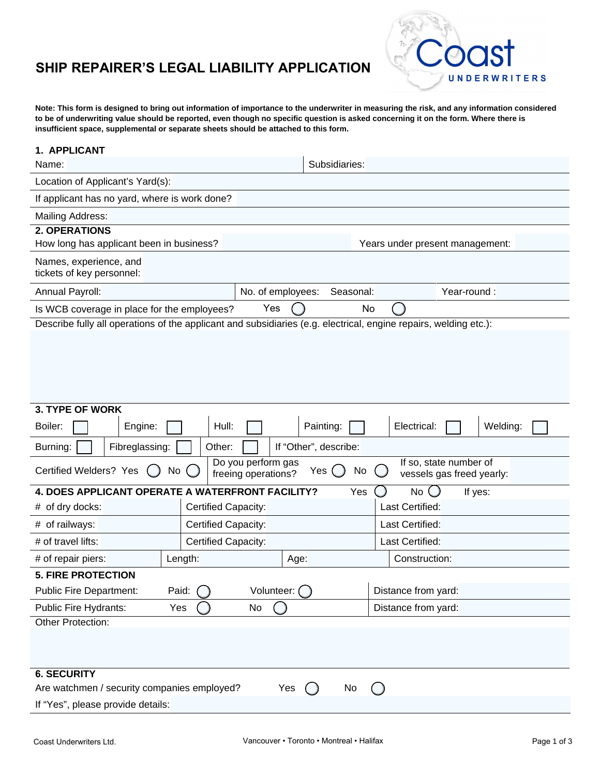## **SHIP REPAIRER'S LEGAL LIABILITY APPLICATION**



**Note: This form is designed to bring out information of importance to the underwriter in measuring the risk, and any information considered to be of underwriting value should be reported, even though no specific question is asked concerning it on the form. Where there is insufficient space, supplemental or separate sheets should be attached to this form.**

| 1. APPLICANT                                                                                                                                            |                     |                             |                       |                 |                                 |  |  |  |
|---------------------------------------------------------------------------------------------------------------------------------------------------------|---------------------|-----------------------------|-----------------------|-----------------|---------------------------------|--|--|--|
| Name:                                                                                                                                                   |                     |                             |                       | Subsidiaries:   |                                 |  |  |  |
| Location of Applicant's Yard(s):                                                                                                                        |                     |                             |                       |                 |                                 |  |  |  |
| If applicant has no yard, where is work done?                                                                                                           |                     |                             |                       |                 |                                 |  |  |  |
| Mailing Address:                                                                                                                                        |                     |                             |                       |                 |                                 |  |  |  |
| <b>2. OPERATIONS</b>                                                                                                                                    |                     |                             |                       |                 |                                 |  |  |  |
| How long has applicant been in business?                                                                                                                |                     |                             |                       |                 | Years under present management: |  |  |  |
| Names, experience, and<br>tickets of key personnel:                                                                                                     |                     |                             |                       |                 |                                 |  |  |  |
| Annual Payroll:                                                                                                                                         |                     | No. of employees:           |                       | Seasonal:       | Year-round:                     |  |  |  |
| Is WCB coverage in place for the employees?                                                                                                             |                     | Yes                         | No                    |                 |                                 |  |  |  |
| Describe fully all operations of the applicant and subsidiaries (e.g. electrical, engine repairs, welding etc.):                                        |                     |                             |                       |                 |                                 |  |  |  |
|                                                                                                                                                         |                     |                             |                       |                 |                                 |  |  |  |
| <b>3. TYPE OF WORK</b>                                                                                                                                  |                     |                             |                       |                 |                                 |  |  |  |
| Boiler:<br>Engine:                                                                                                                                      | Hull:               |                             | Painting:             |                 | Electrical:<br>Welding:         |  |  |  |
| Fibreglassing:<br>Burning:                                                                                                                              | Other:              |                             | If "Other", describe: |                 |                                 |  |  |  |
| If so, state number of<br>Do you perform gas<br>Certified Welders? Yes<br>Yes $\bigcup$<br>No<br>No<br>freeing operations?<br>vessels gas freed yearly: |                     |                             |                       |                 |                                 |  |  |  |
| <b>4. DOES APPLICANT OPERATE A</b>                                                                                                                      |                     | <b>WATERFRONT FACILITY?</b> |                       | Yes             | No<br>If yes:                   |  |  |  |
| # of dry docks:                                                                                                                                         | Certified Capacity: |                             |                       | Last Certified: |                                 |  |  |  |
| # of railways:                                                                                                                                          | Certified Capacity: |                             |                       |                 | Last Certified:                 |  |  |  |
| # of travel lifts:                                                                                                                                      | Certified Capacity: |                             |                       |                 | Last Certified:                 |  |  |  |
| # of repair piers:                                                                                                                                      | Length:             |                             |                       |                 | Construction:                   |  |  |  |
| <b>5. FIRE PROTECTION</b>                                                                                                                               |                     |                             |                       |                 |                                 |  |  |  |
| <b>Public Fire Department:</b>                                                                                                                          | Paid:               | Volunteer: (                |                       |                 | Distance from yard:             |  |  |  |
| Public Fire Hydrants:<br>No<br>Yes                                                                                                                      |                     |                             |                       |                 | Distance from yard:             |  |  |  |
| Other Protection:                                                                                                                                       |                     |                             |                       |                 |                                 |  |  |  |
|                                                                                                                                                         |                     |                             |                       |                 |                                 |  |  |  |
| <b>6. SECURITY</b>                                                                                                                                      |                     |                             |                       |                 |                                 |  |  |  |
| Are watchmen / security companies employed?<br>Yes<br>No                                                                                                |                     |                             |                       |                 |                                 |  |  |  |
| If "Yes", please provide details:                                                                                                                       |                     |                             |                       |                 |                                 |  |  |  |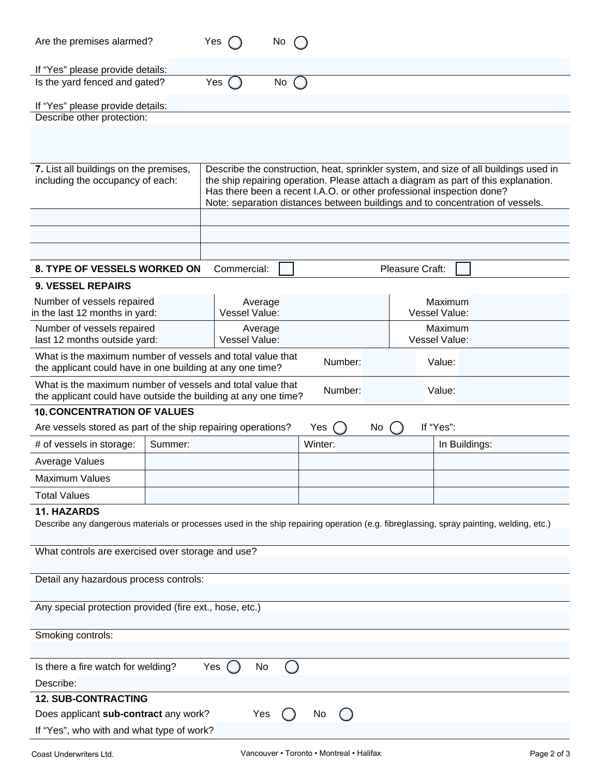| Are the premises alarmed?                                                                                                                                    |                          | Yes                                                                                                                                                                                                                                                                                                                                  | No |         |         |                          |                 |           |                          |  |  |
|--------------------------------------------------------------------------------------------------------------------------------------------------------------|--------------------------|--------------------------------------------------------------------------------------------------------------------------------------------------------------------------------------------------------------------------------------------------------------------------------------------------------------------------------------|----|---------|---------|--------------------------|-----------------|-----------|--------------------------|--|--|
| If "Yes" please provide details:<br>Is the yard fenced and gated?                                                                                            |                          | Yes                                                                                                                                                                                                                                                                                                                                  | No |         |         |                          |                 |           |                          |  |  |
| If "Yes" please provide details:                                                                                                                             |                          |                                                                                                                                                                                                                                                                                                                                      |    |         |         |                          |                 |           |                          |  |  |
| Describe other protection:                                                                                                                                   |                          |                                                                                                                                                                                                                                                                                                                                      |    |         |         |                          |                 |           |                          |  |  |
|                                                                                                                                                              |                          |                                                                                                                                                                                                                                                                                                                                      |    |         |         |                          |                 |           |                          |  |  |
| 7. List all buildings on the premises,<br>including the occupancy of each:                                                                                   |                          | Describe the construction, heat, sprinkler system, and size of all buildings used in<br>the ship repairing operation. Please attach a diagram as part of this explanation.<br>Has there been a recent I.A.O. or other professional inspection done?<br>Note: separation distances between buildings and to concentration of vessels. |    |         |         |                          |                 |           |                          |  |  |
|                                                                                                                                                              |                          |                                                                                                                                                                                                                                                                                                                                      |    |         |         |                          |                 |           |                          |  |  |
|                                                                                                                                                              |                          |                                                                                                                                                                                                                                                                                                                                      |    |         |         |                          |                 |           |                          |  |  |
| 8. TYPE OF VESSELS WORKED ON                                                                                                                                 |                          | Commercial:                                                                                                                                                                                                                                                                                                                          |    |         |         |                          | Pleasure Craft: |           |                          |  |  |
| <b>9. VESSEL REPAIRS</b>                                                                                                                                     |                          |                                                                                                                                                                                                                                                                                                                                      |    |         |         |                          |                 |           |                          |  |  |
| Number of vessels repaired<br>in the last 12 months in yard:                                                                                                 |                          | Average<br><b>Vessel Value:</b>                                                                                                                                                                                                                                                                                                      |    |         |         |                          |                 |           | Maximum<br>Vessel Value: |  |  |
| Number of vessels repaired<br>last 12 months outside yard:                                                                                                   | Average<br>Vessel Value: |                                                                                                                                                                                                                                                                                                                                      |    |         |         | Maximum<br>Vessel Value: |                 |           |                          |  |  |
| What is the maximum number of vessels and total value that<br>Number:<br>Value:<br>the applicant could have in one building at any one time?                 |                          |                                                                                                                                                                                                                                                                                                                                      |    |         |         |                          |                 |           |                          |  |  |
| What is the maximum number of vessels and total value that<br>the applicant could have outside the building at any one time?                                 |                          |                                                                                                                                                                                                                                                                                                                                      |    |         | Number: |                          |                 | Value:    |                          |  |  |
| <b>10. CONCENTRATION OF VALUES</b>                                                                                                                           |                          |                                                                                                                                                                                                                                                                                                                                      |    |         |         |                          |                 |           |                          |  |  |
| Are vessels stored as part of the ship repairing operations?                                                                                                 |                          |                                                                                                                                                                                                                                                                                                                                      |    | Yes     |         | No                       |                 | If "Yes": |                          |  |  |
| # of vessels in storage:                                                                                                                                     | Summer:                  |                                                                                                                                                                                                                                                                                                                                      |    | Winter: |         |                          |                 |           | In Buildings:            |  |  |
| Average Values                                                                                                                                               |                          |                                                                                                                                                                                                                                                                                                                                      |    |         |         |                          |                 |           |                          |  |  |
| <b>Maximum Values</b>                                                                                                                                        |                          |                                                                                                                                                                                                                                                                                                                                      |    |         |         |                          |                 |           |                          |  |  |
| <b>Total Values</b>                                                                                                                                          |                          |                                                                                                                                                                                                                                                                                                                                      |    |         |         |                          |                 |           |                          |  |  |
| <b>11. HAZARDS</b><br>Describe any dangerous materials or processes used in the ship repairing operation (e.g. fibreglassing, spray painting, welding, etc.) |                          |                                                                                                                                                                                                                                                                                                                                      |    |         |         |                          |                 |           |                          |  |  |
| What controls are exercised over storage and use?                                                                                                            |                          |                                                                                                                                                                                                                                                                                                                                      |    |         |         |                          |                 |           |                          |  |  |
| Detail any hazardous process controls:                                                                                                                       |                          |                                                                                                                                                                                                                                                                                                                                      |    |         |         |                          |                 |           |                          |  |  |
| Any special protection provided (fire ext., hose, etc.)                                                                                                      |                          |                                                                                                                                                                                                                                                                                                                                      |    |         |         |                          |                 |           |                          |  |  |
| Smoking controls:                                                                                                                                            |                          |                                                                                                                                                                                                                                                                                                                                      |    |         |         |                          |                 |           |                          |  |  |
| Is there a fire watch for welding?<br>Yes<br>No<br>Describe:                                                                                                 |                          |                                                                                                                                                                                                                                                                                                                                      |    |         |         |                          |                 |           |                          |  |  |
| <b>12. SUB-CONTRACTING</b>                                                                                                                                   |                          |                                                                                                                                                                                                                                                                                                                                      |    |         |         |                          |                 |           |                          |  |  |
| Does applicant sub-contract any work?<br>Yes<br>No.                                                                                                          |                          |                                                                                                                                                                                                                                                                                                                                      |    |         |         |                          |                 |           |                          |  |  |
| If "Yes", who with and what type of work?                                                                                                                    |                          |                                                                                                                                                                                                                                                                                                                                      |    |         |         |                          |                 |           |                          |  |  |